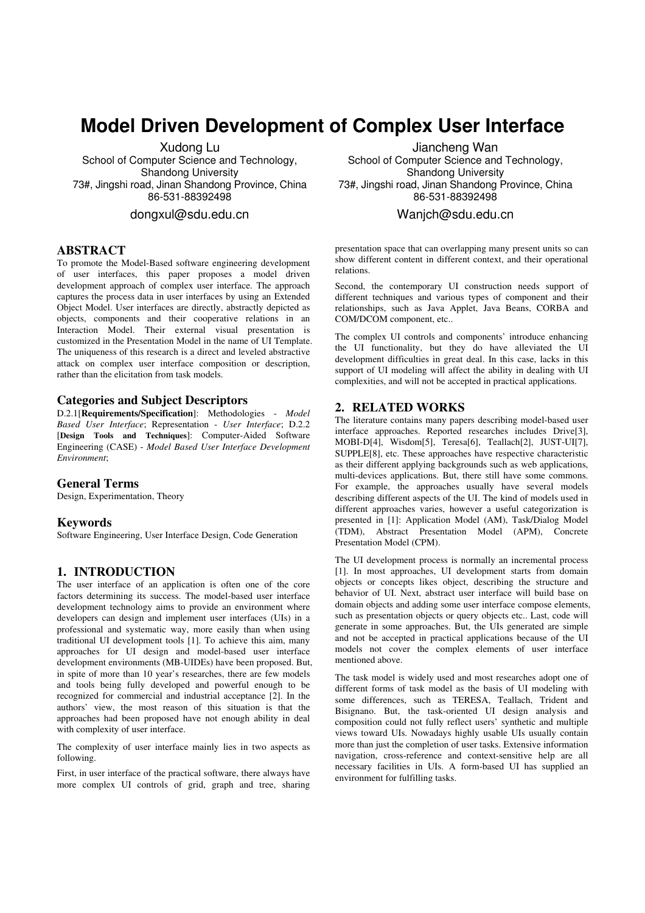# **Model Driven Development of Complex User Interface**

Xudong Lu School of Computer Science and Technology, Shandong University 73#, Jingshi road, Jinan Shandong Province, China 86-531-88392498

dongxul@sdu.edu.cn

## **ABSTRACT**

To promote the Model-Based software engineering development of user interfaces, this paper proposes a model driven development approach of complex user interface. The approach captures the process data in user interfaces by using an Extended Object Model. User interfaces are directly, abstractly depicted as objects, components and their cooperative relations in an Interaction Model. Their external visual presentation is customized in the Presentation Model in the name of UI Template. The uniqueness of this research is a direct and leveled abstractive attack on complex user interface composition or description, rather than the elicitation from task models.

## **Categories and Subject Descriptors**

D.2.1[**Requirements/Specification**]: Methodologies - *Model Based User Interface*; Representation - *User Interface*; D.2.2 [**Design Tools and Techniques**]: Computer-Aided Software Engineering (CASE) - *Model Based User Interface Development Environment*;

#### **General Terms**

Design, Experimentation, Theory

#### **Keywords**

Software Engineering, User Interface Design, Code Generation

## **1. INTRODUCTION**

The user interface of an application is often one of the core factors determining its success. The model-based user interface development technology aims to provide an environment where developers can design and implement user interfaces (UIs) in a professional and systematic way, more easily than when using traditional UI development tools [1]. To achieve this aim, many approaches for UI design and model-based user interface development environments (MB-UIDEs) have been proposed. But, in spite of more than 10 year's researches, there are few models and tools being fully developed and powerful enough to be recognized for commercial and industrial acceptance [2]. In the authors' view, the most reason of this situation is that the approaches had been proposed have not enough ability in deal with complexity of user interface.

The complexity of user interface mainly lies in two aspects as following.

First, in user interface of the practical software, there always have more complex UI controls of grid, graph and tree, sharing

Jiancheng Wan School of Computer Science and Technology, Shandong University 73#, Jingshi road, Jinan Shandong Province, China 86-531-88392498

Wanjch@sdu.edu.cn

presentation space that can overlapping many present units so can show different content in different context, and their operational relations.

Second, the contemporary UI construction needs support of different techniques and various types of component and their relationships, such as Java Applet, Java Beans, CORBA and COM/DCOM component, etc..

The complex UI controls and components' introduce enhancing the UI functionality, but they do have alleviated the UI development difficulties in great deal. In this case, lacks in this support of UI modeling will affect the ability in dealing with UI complexities, and will not be accepted in practical applications.

## **2. RELATED WORKS**

The literature contains many papers describing model-based user interface approaches. Reported researches includes Drive[3], MOBI-D[4], Wisdom[5], Teresa[6], Teallach[2], JUST-UI[7], SUPPLE[8], etc. These approaches have respective characteristic as their different applying backgrounds such as web applications, multi-devices applications. But, there still have some commons. For example, the approaches usually have several models describing different aspects of the UI. The kind of models used in different approaches varies, however a useful categorization is presented in [1]: Application Model (AM), Task/Dialog Model (TDM), Abstract Presentation Model (APM), Concrete Presentation Model (CPM).

The UI development process is normally an incremental process [1]. In most approaches, UI development starts from domain objects or concepts likes object, describing the structure and behavior of UI. Next, abstract user interface will build base on domain objects and adding some user interface compose elements, such as presentation objects or query objects etc.. Last, code will generate in some approaches. But, the UIs generated are simple and not be accepted in practical applications because of the UI models not cover the complex elements of user interface mentioned above.

The task model is widely used and most researches adopt one of different forms of task model as the basis of UI modeling with some differences, such as TERESA, Teallach, Trident and Bisignano. But, the task-oriented UI design analysis and composition could not fully reflect users' synthetic and multiple views toward UIs. Nowadays highly usable UIs usually contain more than just the completion of user tasks. Extensive information navigation, cross-reference and context-sensitive help are all necessary facilities in UIs. A form-based UI has supplied an environment for fulfilling tasks.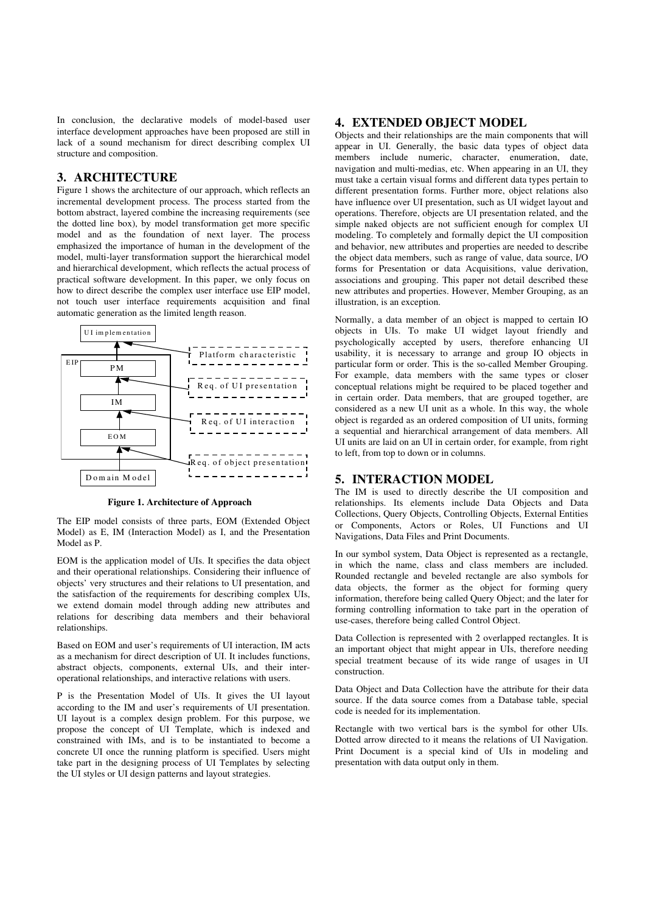In conclusion, the declarative models of model-based user interface development approaches have been proposed are still in lack of a sound mechanism for direct describing complex UI structure and composition.

## **3. ARCHITECTURE**

Figure 1 shows the architecture of our approach, which reflects an incremental development process. The process started from the bottom abstract, layered combine the increasing requirements (see the dotted line box), by model transformation get more specific model and as the foundation of next layer. The process emphasized the importance of human in the development of the model, multi-layer transformation support the hierarchical model and hierarchical development, which reflects the actual process of practical software development. In this paper, we only focus on how to direct describe the complex user interface use EIP model, not touch user interface requirements acquisition and final automatic generation as the limited length reason.



**Figure 1. Architecture of Approach** 

The EIP model consists of three parts, EOM (Extended Object Model) as E, IM (Interaction Model) as I, and the Presentation Model as P.

EOM is the application model of UIs. It specifies the data object and their operational relationships. Considering their influence of objects' very structures and their relations to UI presentation, and the satisfaction of the requirements for describing complex UIs, we extend domain model through adding new attributes and relations for describing data members and their behavioral relationships.

Based on EOM and user's requirements of UI interaction, IM acts as a mechanism for direct description of UI. It includes functions, abstract objects, components, external UIs, and their interoperational relationships, and interactive relations with users.

P is the Presentation Model of UIs. It gives the UI layout according to the IM and user's requirements of UI presentation. UI layout is a complex design problem. For this purpose, we propose the concept of UI Template, which is indexed and constrained with IMs, and is to be instantiated to become a concrete UI once the running platform is specified. Users might take part in the designing process of UI Templates by selecting the UI styles or UI design patterns and layout strategies.

## **4. EXTENDED OBJECT MODEL**

Objects and their relationships are the main components that will appear in UI. Generally, the basic data types of object data members include numeric, character, enumeration, date, navigation and multi-medias, etc. When appearing in an UI, they must take a certain visual forms and different data types pertain to different presentation forms. Further more, object relations also have influence over UI presentation, such as UI widget layout and operations. Therefore, objects are UI presentation related, and the simple naked objects are not sufficient enough for complex UI modeling. To completely and formally depict the UI composition and behavior, new attributes and properties are needed to describe the object data members, such as range of value, data source, I/O forms for Presentation or data Acquisitions, value derivation, associations and grouping. This paper not detail described these new attributes and properties. However, Member Grouping, as an illustration, is an exception.

Normally, a data member of an object is mapped to certain IO objects in UIs. To make UI widget layout friendly and psychologically accepted by users, therefore enhancing UI usability, it is necessary to arrange and group IO objects in particular form or order. This is the so-called Member Grouping. For example, data members with the same types or closer conceptual relations might be required to be placed together and in certain order. Data members, that are grouped together, are considered as a new UI unit as a whole. In this way, the whole object is regarded as an ordered composition of UI units, forming a sequential and hierarchical arrangement of data members. All UI units are laid on an UI in certain order, for example, from right to left, from top to down or in columns.

#### **5. INTERACTION MODEL**

The IM is used to directly describe the UI composition and relationships. Its elements include Data Objects and Data Collections, Query Objects, Controlling Objects, External Entities or Components, Actors or Roles, UI Functions and UI Navigations, Data Files and Print Documents.

In our symbol system, Data Object is represented as a rectangle, in which the name, class and class members are included. Rounded rectangle and beveled rectangle are also symbols for data objects, the former as the object for forming query information, therefore being called Query Object; and the later for forming controlling information to take part in the operation of use-cases, therefore being called Control Object.

Data Collection is represented with 2 overlapped rectangles. It is an important object that might appear in UIs, therefore needing special treatment because of its wide range of usages in UI construction.

Data Object and Data Collection have the attribute for their data source. If the data source comes from a Database table, special code is needed for its implementation.

Rectangle with two vertical bars is the symbol for other UIs. Dotted arrow directed to it means the relations of UI Navigation. Print Document is a special kind of UIs in modeling and presentation with data output only in them.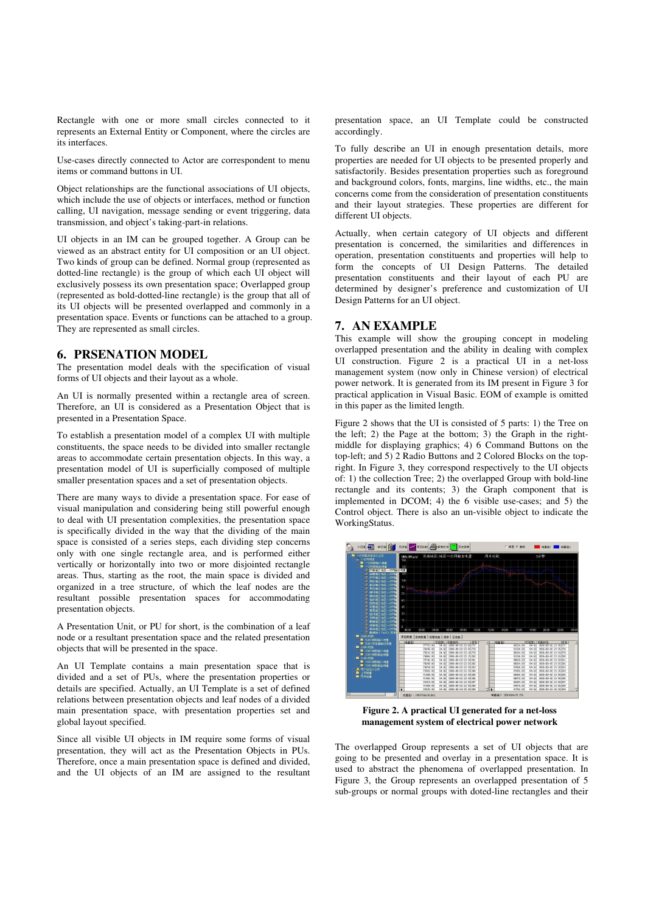Rectangle with one or more small circles connected to it represents an External Entity or Component, where the circles are its interfaces.

Use-cases directly connected to Actor are correspondent to menu items or command buttons in UI.

Object relationships are the functional associations of UI objects, which include the use of objects or interfaces, method or function calling, UI navigation, message sending or event triggering, data transmission, and object's taking-part-in relations.

UI objects in an IM can be grouped together. A Group can be viewed as an abstract entity for UI composition or an UI object. Two kinds of group can be defined. Normal group (represented as dotted-line rectangle) is the group of which each UI object will exclusively possess its own presentation space; Overlapped group (represented as bold-dotted-line rectangle) is the group that all of its UI objects will be presented overlapped and commonly in a presentation space. Events or functions can be attached to a group. They are represented as small circles.

## **6. PRSENATION MODEL**

The presentation model deals with the specification of visual forms of UI objects and their layout as a whole.

An UI is normally presented within a rectangle area of screen. Therefore, an UI is considered as a Presentation Object that is presented in a Presentation Space.

To establish a presentation model of a complex UI with multiple constituents, the space needs to be divided into smaller rectangle areas to accommodate certain presentation objects. In this way, a presentation model of UI is superficially composed of multiple smaller presentation spaces and a set of presentation objects.

There are many ways to divide a presentation space. For ease of visual manipulation and considering being still powerful enough to deal with UI presentation complexities, the presentation space is specifically divided in the way that the dividing of the main space is consisted of a series steps, each dividing step concerns only with one single rectangle area, and is performed either vertically or horizontally into two or more disjointed rectangle areas. Thus, starting as the root, the main space is divided and organized in a tree structure, of which the leaf nodes are the resultant possible presentation spaces for accommodating presentation objects.

A Presentation Unit, or PU for short, is the combination of a leaf node or a resultant presentation space and the related presentation objects that will be presented in the space.

An UI Template contains a main presentation space that is divided and a set of PUs, where the presentation properties or details are specified. Actually, an UI Template is a set of defined relations between presentation objects and leaf nodes of a divided main presentation space, with presentation properties set and global layout specified.

Since all visible UI objects in IM require some forms of visual presentation, they will act as the Presentation Objects in PUs. Therefore, once a main presentation space is defined and divided, and the UI objects of an IM are assigned to the resultant presentation space, an UI Template could be constructed accordingly.

To fully describe an UI in enough presentation details, more properties are needed for UI objects to be presented properly and satisfactorily. Besides presentation properties such as foreground and background colors, fonts, margins, line widths, etc., the main concerns come from the consideration of presentation constituents and their layout strategies. These properties are different for different UI objects.

Actually, when certain category of UI objects and different presentation is concerned, the similarities and differences in operation, presentation constituents and properties will help to form the concepts of UI Design Patterns. The detailed presentation constituents and their layout of each PU are determined by designer's preference and customization of UI Design Patterns for an UI object.

# **7. AN EXAMPLE**

This example will show the grouping concept in modeling overlapped presentation and the ability in dealing with complex UI construction. Figure 2 is a practical UI in a net-loss management system (now only in Chinese version) of electrical power network. It is generated from its IM present in Figure 3 for practical application in Visual Basic. EOM of example is omitted in this paper as the limited length.

Figure 2 shows that the UI is consisted of 5 parts: 1) the Tree on the left; 2) the Page at the bottom; 3) the Graph in the rightmiddle for displaying graphics; 4) 6 Command Buttons on the top-left; and 5) 2 Radio Buttons and 2 Colored Blocks on the topright. In Figure 3, they correspond respectively to the UI objects of: 1) the collection Tree; 2) the overlapped Group with bold-line rectangle and its contents; 3) the Graph component that is implemented in DCOM; 4) the 6 visible use-cases; and 5) the Control object. There is also an un-visible object to indicate the WorkingStatus.



**Figure 2. A practical UI generated for a net-loss management system of electrical power network**

The overlapped Group represents a set of UI objects that are going to be presented and overlay in a presentation space. It is used to abstract the phenomena of overlapped presentation. In Figure 3, the Group represents an overlapped presentation of 5 sub-groups or normal groups with doted-line rectangles and their